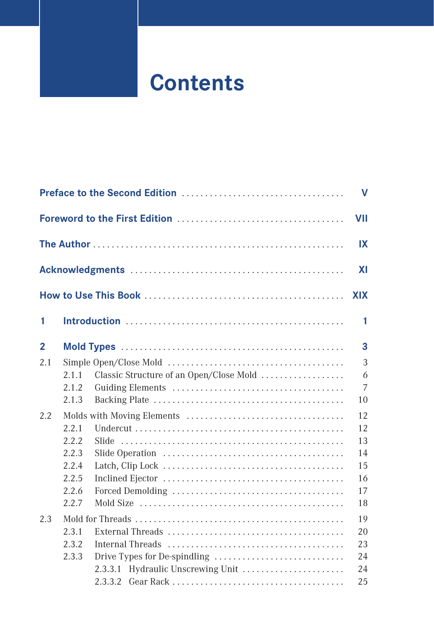## **Contents**

|              |       |                                         | $\mathbf v$    |
|--------------|-------|-----------------------------------------|----------------|
|              |       |                                         | VII            |
|              |       |                                         | IX             |
|              |       |                                         | <b>XI</b>      |
|              |       |                                         | <b>XIX</b>     |
| 1            |       |                                         | 1              |
| $\mathbf{2}$ |       |                                         | 3              |
| 2.1          |       |                                         | 3              |
|              | 2.1.1 | Classic Structure of an Open/Close Mold | 6              |
|              | 2.1.2 |                                         | $\overline{7}$ |
|              | 2.1.3 |                                         | 10             |
| 2.2          |       |                                         | 12             |
|              | 2.2.1 |                                         | 12             |
|              | 2.2.2 |                                         | 13             |
|              | 2.2.3 |                                         | 14             |
|              | 2.2.4 |                                         | 15             |
|              | 2.2.5 |                                         | 16             |
|              | 2.2.6 |                                         | 17             |
|              | 2.2.7 |                                         | 18             |
| 2.3          |       |                                         | 19             |
|              | 2.3.1 |                                         | 20             |
|              | 2.3.2 |                                         | 23             |
|              | 2.3.3 | Drive Types for De-spindling            | 24             |
|              |       | 2.3.3.1 Hydraulic Unscrewing Unit       | 24             |
|              |       |                                         | 25             |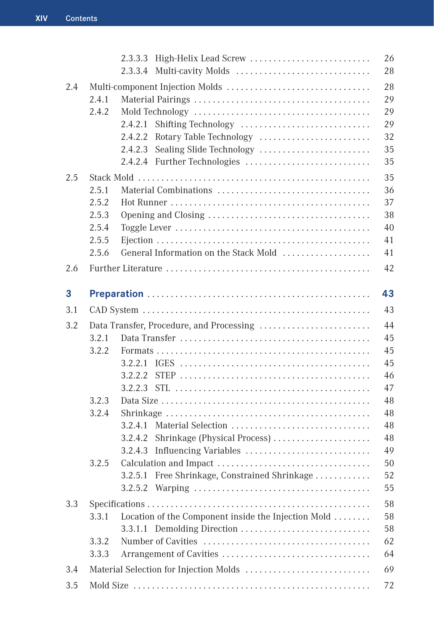|     |                                                    | Multi-cavity Molds<br>2.3.3.4                                                                                                                                                                                           | 26<br>28                                                                         |
|-----|----------------------------------------------------|-------------------------------------------------------------------------------------------------------------------------------------------------------------------------------------------------------------------------|----------------------------------------------------------------------------------|
| 2.4 | 2.4.1<br>2.4.2                                     | 2.4.2.1<br>Shifting Technology<br>Rotary Table Technology<br>2.4.2.2<br>Sealing Slide Technology<br>2.4.2.3                                                                                                             | 28<br>29<br>29<br>29<br>32<br>35                                                 |
|     |                                                    |                                                                                                                                                                                                                         | 35                                                                               |
| 2.5 | 2.5.1<br>2.5.2<br>2.5.3<br>2.5.4<br>2.5.5<br>2.5.6 | General Information on the Stack Mold                                                                                                                                                                                   | 35<br>36<br>37<br>38<br>40<br>41<br>41                                           |
| 2.6 |                                                    |                                                                                                                                                                                                                         | 42                                                                               |
| 3   |                                                    |                                                                                                                                                                                                                         | 43                                                                               |
| 3.1 |                                                    |                                                                                                                                                                                                                         | 43                                                                               |
| 3.2 | 3.2.1<br>3.2.2<br>3.2.3<br>3.2.4<br>3.2.5          | Data Transfer, Procedure, and Processing<br>3.2.2.2<br>3.2.2.3<br>3.2.4.1<br>Shrinkage (Physical Process)<br>3.2.4.2<br>Influencing Variables<br>3.2.4.3<br>Free Shrinkage, Constrained Shrinkage<br>3.2.5.1<br>3.2.5.2 | 44<br>45<br>45<br>45<br>46<br>47<br>48<br>48<br>48<br>48<br>49<br>50<br>52<br>55 |
| 3.3 | 3.3.1<br>3.3.2<br>3.3.3                            | Location of the Component inside the Injection Mold<br>3.3.1.1 Demolding Direction<br>Arrangement of Cavities                                                                                                           | 58<br>58<br>58<br>62<br>64                                                       |
| 3.4 |                                                    |                                                                                                                                                                                                                         | 69                                                                               |
| 3.5 | 72                                                 |                                                                                                                                                                                                                         |                                                                                  |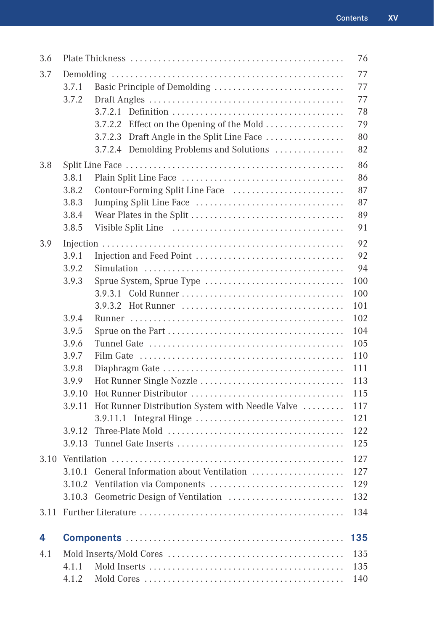| 3.6  |        |                                                  | 76         |
|------|--------|--------------------------------------------------|------------|
| 3.7  |        |                                                  | 77         |
|      | 3.7.1  |                                                  | 77         |
|      | 3.7.2  |                                                  | 77         |
|      |        | 3.7.2.1                                          | 78         |
|      |        | Effect on the Opening of the Mold<br>3.7.2.2     | 79         |
|      |        | 3.7.2.3 Draft Angle in the Split Line Face       | 80         |
|      |        | 3.7.2.4 Demolding Problems and Solutions         | 82         |
| 3.8  |        |                                                  | 86         |
|      | 3.8.1  |                                                  | 86         |
|      | 3.8.2  |                                                  | 87         |
|      | 3.8.3  |                                                  | 87         |
|      | 3.8.4  |                                                  | 89         |
|      | 3.8.5  |                                                  | 91         |
| 3.9  |        |                                                  | 92         |
|      | 3.9.1  |                                                  | 92         |
|      | 3.9.2  |                                                  | 94         |
|      | 3.9.3  | Sprue System, Sprue Type                         | 100        |
|      |        |                                                  | 100        |
|      |        |                                                  | 101        |
|      | 3.9.4  |                                                  | 102        |
|      | 3.9.5  |                                                  | 104        |
|      | 3.9.6  |                                                  | 105        |
|      | 3.9.7  |                                                  | 110        |
|      | 3.9.8  |                                                  | 111        |
|      | 3.9.9  | Hot Runner Single Nozzle                         | 113        |
|      | 3.9.10 |                                                  | 115        |
|      | 3.9.11 | Hot Runner Distribution System with Needle Valve | 117        |
|      |        |                                                  | 121        |
|      | 3.9.12 |                                                  | 122        |
|      | 3.9.13 |                                                  | 125        |
|      |        |                                                  | 127        |
|      |        | 3.10.1 General Information about Ventilation     | 127        |
|      | 3.10.2 | Ventilation via Components                       | 129        |
|      |        |                                                  | 132        |
| 3.11 |        |                                                  | 134        |
| 4    |        |                                                  | 135        |
|      |        |                                                  |            |
| 4.1  | 4.1.1  |                                                  | 135        |
|      | 4.1.2  |                                                  | 135<br>140 |
|      |        |                                                  |            |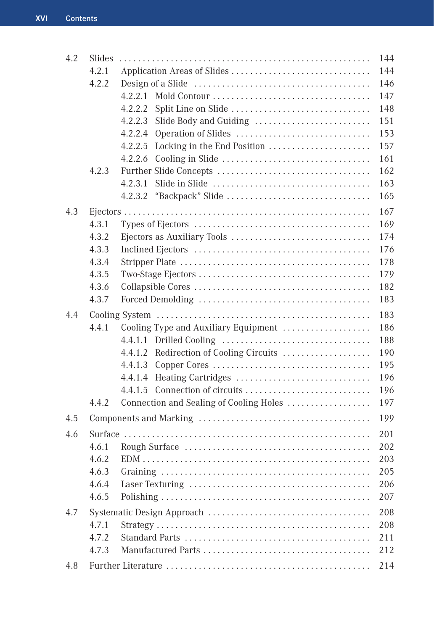| 4.2 | <b>Slides</b> |                                         | 144 |
|-----|---------------|-----------------------------------------|-----|
|     | 4.2.1         |                                         | 144 |
|     | 4.2.2         |                                         | 146 |
|     |               |                                         | 147 |
|     |               | 4.2.2.2<br>Split Line on Slide          | 148 |
|     |               | Slide Body and Guiding<br>4.2.2.3       | 151 |
|     |               | 4.2.2.4<br>Operation of Slides          | 153 |
|     |               | 4.2.2.5<br>Locking in the End Position  | 157 |
|     |               | 4.2.2.6                                 | 161 |
|     | 4.2.3         |                                         | 162 |
|     |               | 4.2.3.1                                 | 163 |
|     |               |                                         | 165 |
| 4.3 |               |                                         | 167 |
|     | 4.3.1         |                                         | 169 |
|     | 4.3.2         |                                         | 174 |
|     | 4.3.3         |                                         | 176 |
|     | 4.3.4         |                                         | 178 |
|     | 4.3.5         |                                         | 179 |
|     | 4.3.6         |                                         | 182 |
|     | 4.3.7         |                                         | 183 |
| 4.4 |               |                                         | 183 |
|     | 4.4.1         | Cooling Type and Auxiliary Equipment    | 186 |
|     |               |                                         | 188 |
|     |               | 4.4.1.2 Redirection of Cooling Circuits | 190 |
|     |               | 4.4.1.3                                 | 195 |
|     |               | Heating Cartridges<br>4.4.1.4           | 196 |
|     |               | 4.4.1.5                                 | 196 |
|     | 4.4.2         | Connection and Sealing of Cooling Holes | 197 |
| 4.5 |               |                                         | 199 |
| 4.6 |               |                                         | 201 |
|     | 4.6.1         |                                         | 202 |
|     | 4.6.2         |                                         | 203 |
|     | 4.6.3         |                                         | 205 |
|     | 4.6.4         |                                         | 206 |
|     | 4.6.5         |                                         | 207 |
| 4.7 |               |                                         | 208 |
|     | 4.7.1         |                                         | 208 |
|     | 4.7.2         |                                         | 211 |
|     | 4.7.3         |                                         | 212 |
| 4.8 |               |                                         | 214 |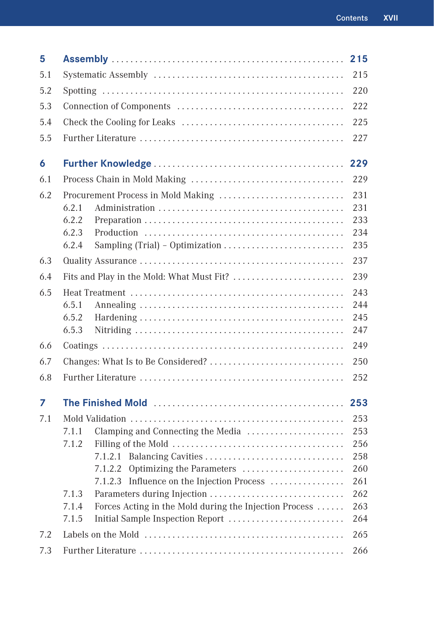| 5   |                                                                 | 215 |  |
|-----|-----------------------------------------------------------------|-----|--|
| 5.1 | 215                                                             |     |  |
| 5.2 | 220                                                             |     |  |
| 5.3 |                                                                 |     |  |
| 5.4 |                                                                 | 225 |  |
| 5.5 |                                                                 | 227 |  |
| 6   |                                                                 | 229 |  |
| 6.1 |                                                                 | 229 |  |
| 6.2 | Procurement Process in Mold Making                              | 231 |  |
|     | 6.2.1                                                           | 231 |  |
|     | 6.2.2                                                           | 233 |  |
|     | 6.2.3                                                           | 234 |  |
|     | 6.2.4                                                           | 235 |  |
| 6.3 |                                                                 | 237 |  |
| 6.4 | Fits and Play in the Mold: What Must Fit?                       | 239 |  |
| 6.5 |                                                                 | 243 |  |
|     | 6.5.1                                                           | 244 |  |
|     | 6.5.2                                                           | 245 |  |
|     | 6.5.3                                                           | 247 |  |
| 6.6 |                                                                 | 249 |  |
| 6.7 | 250                                                             |     |  |
| 6.8 |                                                                 | 252 |  |
| 7   |                                                                 | 253 |  |
| 7.1 |                                                                 | 253 |  |
|     | Clamping and Connecting the Media<br>7.1.1                      | 253 |  |
|     | 7.1.2                                                           | 256 |  |
|     |                                                                 | 258 |  |
|     | 7.1.2.2 Optimizing the Parameters                               | 260 |  |
|     | Influence on the Injection Process<br>7.1.2.3                   | 261 |  |
|     | Parameters during Injection<br>7.1.3                            | 262 |  |
|     | Forces Acting in the Mold during the Injection Process<br>7.1.4 | 263 |  |
|     | 7.1.5<br>Initial Sample Inspection Report                       | 264 |  |
| 7.2 | 265                                                             |     |  |
| 7.3 | 266                                                             |     |  |